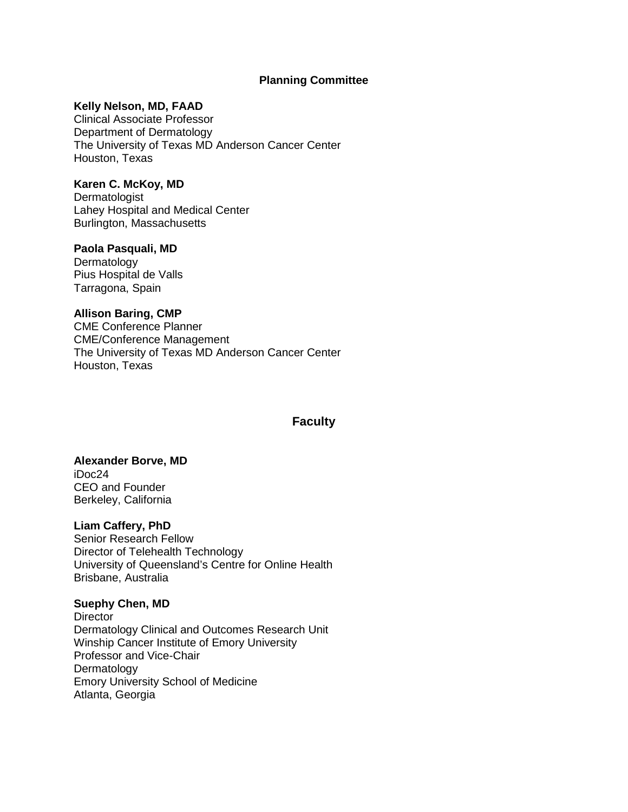## **Planning Committee**

### **Kelly Nelson, MD, FAAD**

Clinical Associate Professor Department of Dermatology The University of Texas MD Anderson Cancer Center Houston, Texas

## **Karen C. McKoy, MD**

**Dermatologist** Lahey Hospital and Medical Center Burlington, Massachusetts

## **Paola Pasquali, MD**

Dermatology Pius Hospital de Valls Tarragona, Spain

### **Allison Baring, CMP**

CME Conference Planner CME/Conference Management The University of Texas MD Anderson Cancer Center Houston, Texas

## **Faculty**

## **Alexander Borve, MD**

iDoc24 CEO and Founder Berkeley, California

### **Liam Caffery, PhD**

Senior Research Fellow Director of Telehealth Technology University of Queensland's Centre for Online Health Brisbane, Australia

### **Suephy Chen, MD**

**Director** Dermatology Clinical and Outcomes Research Unit Winship Cancer Institute of Emory University Professor and Vice-Chair Dermatology Emory University School of Medicine Atlanta, Georgia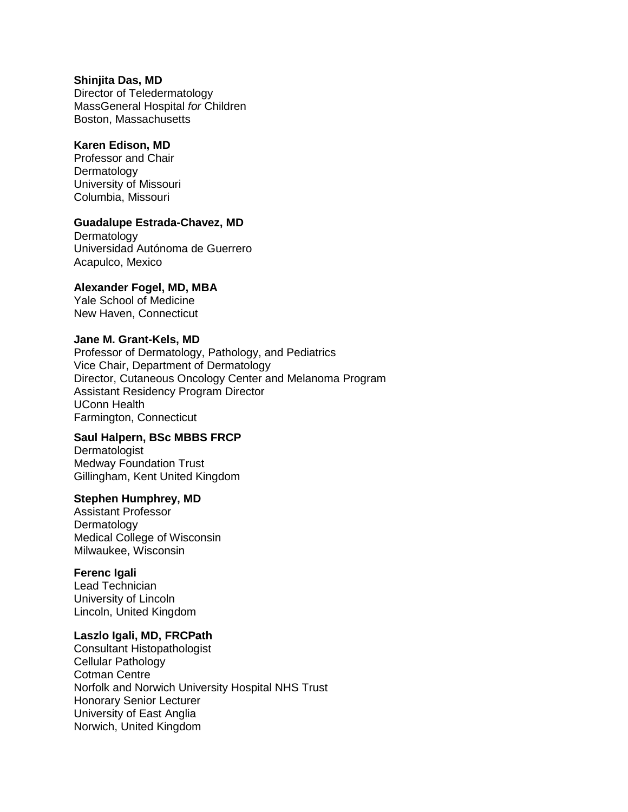#### **Shinjita Das, MD**

Director of Teledermatology MassGeneral Hospital *for* Children Boston, Massachusetts

# **Karen Edison, MD**

Professor and Chair Dermatology University of Missouri Columbia, Missouri

## **Guadalupe Estrada-Chavez, MD**

Dermatology Universidad Autónoma de Guerrero Acapulco, Mexico

## **Alexander Fogel, MD, MBA**

Yale School of Medicine New Haven, Connecticut

#### **Jane M. Grant-Kels, MD**

Professor of Dermatology, Pathology, and Pediatrics Vice Chair, Department of Dermatology Director, Cutaneous Oncology Center and Melanoma Program Assistant Residency Program Director UConn Health Farmington, Connecticut

## **Saul Halpern, BSc MBBS FRCP**

Dermatologist Medway Foundation Trust Gillingham, Kent United Kingdom

### **Stephen Humphrey, MD**

Assistant Professor Dermatology Medical College of Wisconsin Milwaukee, Wisconsin

### **Ferenc Igali**

Lead Technician University of Lincoln Lincoln, United Kingdom

#### **Laszlo Igali, MD, FRCPath**

Consultant Histopathologist Cellular Pathology Cotman Centre Norfolk and Norwich University Hospital NHS Trust Honorary Senior Lecturer University of East Anglia Norwich, United Kingdom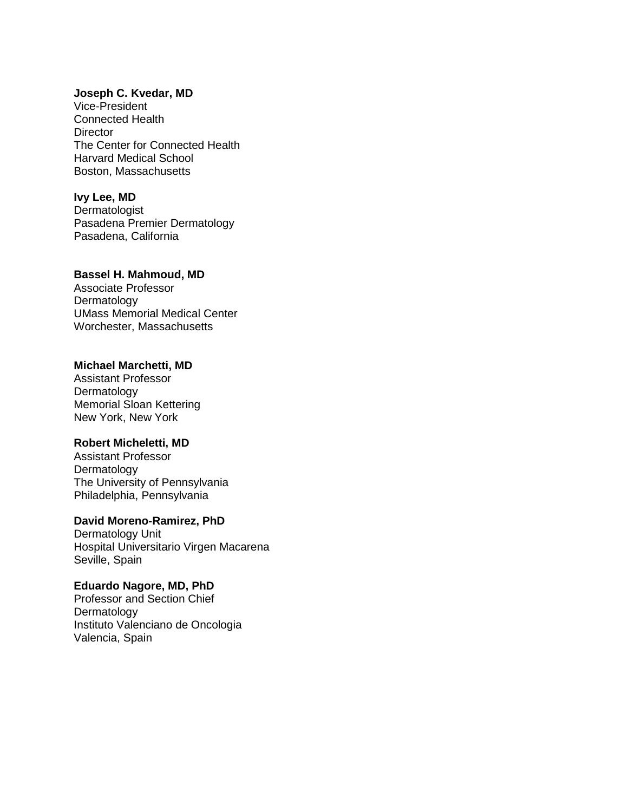### **Joseph C. Kvedar, MD**

Vice-President Connected Health **Director** The Center for Connected Health Harvard Medical School Boston, Massachusetts

## **Ivy Lee, MD**

**Dermatologist** Pasadena Premier Dermatology Pasadena, California

#### **Bassel H. Mahmoud, MD**

Associate Professor **Dermatology** UMass Memorial Medical Center Worchester, Massachusetts

#### **Michael Marchetti, MD**

Assistant Professor Dermatology Memorial Sloan Kettering New York, New York

## **Robert Micheletti, MD**

Assistant Professor **Dermatology** The University of Pennsylvania Philadelphia, Pennsylvania

### **David Moreno-Ramirez, PhD**

Dermatology Unit Hospital Universitario Virgen Macarena Seville, Spain

**Eduardo Nagore, MD, PhD** Professor and Section Chief Dermatology Instituto Valenciano de Oncologia Valencia, Spain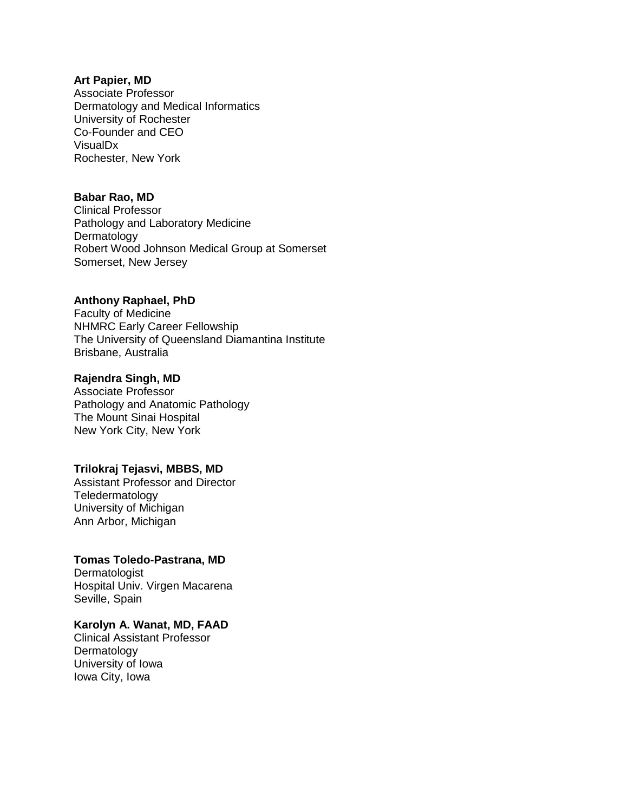### **Art Papier, MD**

Associate Professor Dermatology and Medical Informatics University of Rochester Co-Founder and CEO VisualDx Rochester, New York

## **Babar Rao, MD**

Clinical Professor Pathology and Laboratory Medicine Dermatology Robert Wood Johnson Medical Group at Somerset Somerset, New Jersey

## **Anthony Raphael, PhD**

Faculty of Medicine NHMRC Early Career Fellowship The University of Queensland Diamantina Institute Brisbane, Australia

## **Rajendra Singh, MD**

Associate Professor Pathology and Anatomic Pathology The Mount Sinai Hospital New York City, New York

## **Trilokraj Tejasvi, MBBS, MD**

Assistant Professor and Director Teledermatology University of Michigan Ann Arbor, Michigan

### **Tomas Toledo-Pastrana, MD**

**Dermatologist** Hospital Univ. Virgen Macarena Seville, Spain

## **Karolyn A. Wanat, MD, FAAD**

Clinical Assistant Professor Dermatology University of Iowa Iowa City, Iowa